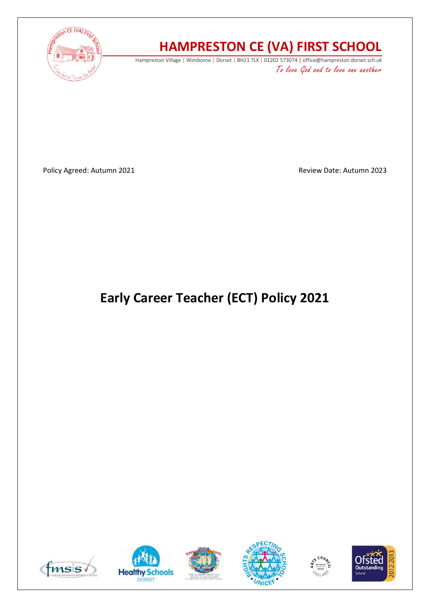

# **HAMPRESTON CE (VA) FIRST SCHOOL**

Hampreston Village | Wimborne | Dorset | BH21 7LX | 01202 573074 | office@hampreston.dorset.sch.uk To love God and to love one another

Policy Agreed: Autumn 2021 and a state of the Review Date: Autumn 2023

# **Early Career Teacher (ECT) Policy 2021**











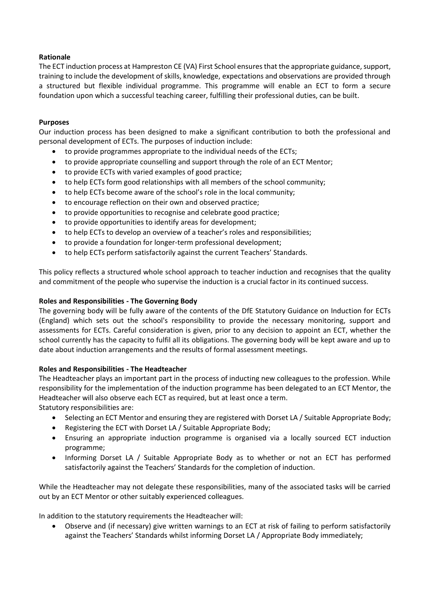# **Rationale**

The ECT induction process at Hampreston CE (VA) First School ensures that the appropriate guidance, support, training to include the development of skills, knowledge, expectations and observations are provided through a structured but flexible individual programme. This programme will enable an ECT to form a secure foundation upon which a successful teaching career, fulfilling their professional duties, can be built.

#### **Purposes**

Our induction process has been designed to make a significant contribution to both the professional and personal development of ECTs. The purposes of induction include:

- to provide programmes appropriate to the individual needs of the ECTs;
- to provide appropriate counselling and support through the role of an ECT Mentor;
- to provide ECTs with varied examples of good practice;
- to help ECTs form good relationships with all members of the school community;
- to help ECTs become aware of the school's role in the local community;
- to encourage reflection on their own and observed practice;
- to provide opportunities to recognise and celebrate good practice;
- to provide opportunities to identify areas for development;
- to help ECTs to develop an overview of a teacher's roles and responsibilities;
- to provide a foundation for longer-term professional development;
- to help ECTs perform satisfactorily against the current Teachers' Standards.

This policy reflects a structured whole school approach to teacher induction and recognises that the quality and commitment of the people who supervise the induction is a crucial factor in its continued success.

## **Roles and Responsibilities - The Governing Body**

The governing body will be fully aware of the contents of the DfE Statutory Guidance on Induction for ECTs (England) which sets out the school's responsibility to provide the necessary monitoring, support and assessments for ECTs. Careful consideration is given, prior to any decision to appoint an ECT, whether the school currently has the capacity to fulfil all its obligations. The governing body will be kept aware and up to date about induction arrangements and the results of formal assessment meetings.

# **Roles and Responsibilities - The Headteacher**

The Headteacher plays an important part in the process of inducting new colleagues to the profession. While responsibility for the implementation of the induction programme has been delegated to an ECT Mentor, the Headteacher will also observe each ECT as required, but at least once a term.

Statutory responsibilities are:

- Selecting an ECT Mentor and ensuring they are registered with Dorset LA / Suitable Appropriate Body;
- Registering the ECT with Dorset LA / Suitable Appropriate Body;
- Ensuring an appropriate induction programme is organised via a locally sourced ECT induction programme;
- Informing Dorset LA / Suitable Appropriate Body as to whether or not an ECT has performed satisfactorily against the Teachers' Standards for the completion of induction.

While the Headteacher may not delegate these responsibilities, many of the associated tasks will be carried out by an ECT Mentor or other suitably experienced colleagues.

In addition to the statutory requirements the Headteacher will:

• Observe and (if necessary) give written warnings to an ECT at risk of failing to perform satisfactorily against the Teachers' Standards whilst informing Dorset LA / Appropriate Body immediately;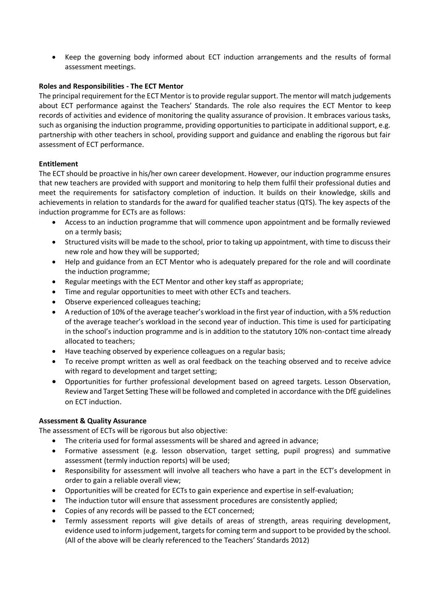• Keep the governing body informed about ECT induction arrangements and the results of formal assessment meetings.

#### **Roles and Responsibilities - The ECT Mentor**

The principal requirement for the ECT Mentor is to provide regular support. The mentor will match judgements about ECT performance against the Teachers' Standards. The role also requires the ECT Mentor to keep records of activities and evidence of monitoring the quality assurance of provision. It embraces various tasks, such as organising the induction programme, providing opportunities to participate in additional support, e.g. partnership with other teachers in school, providing support and guidance and enabling the rigorous but fair assessment of ECT performance.

#### **Entitlement**

The ECT should be proactive in his/her own career development. However, our induction programme ensures that new teachers are provided with support and monitoring to help them fulfil their professional duties and meet the requirements for satisfactory completion of induction. It builds on their knowledge, skills and achievements in relation to standards for the award for qualified teacher status (QTS). The key aspects of the induction programme for ECTs are as follows:

- Access to an induction programme that will commence upon appointment and be formally reviewed on a termly basis;
- Structured visits will be made to the school, prior to taking up appointment, with time to discuss their new role and how they will be supported;
- Help and guidance from an ECT Mentor who is adequately prepared for the role and will coordinate the induction programme;
- Regular meetings with the ECT Mentor and other key staff as appropriate;
- Time and regular opportunities to meet with other ECTs and teachers.
- Observe experienced colleagues teaching;
- A reduction of 10% of the average teacher's workload in the first year of induction, with a 5% reduction of the average teacher's workload in the second year of induction. This time is used for participating in the school's induction programme and is in addition to the statutory 10% non-contact time already allocated to teachers;
- Have teaching observed by experience colleagues on a regular basis;
- To receive prompt written as well as oral feedback on the teaching observed and to receive advice with regard to development and target setting;
- Opportunities for further professional development based on agreed targets. Lesson Observation, Review and Target Setting These will be followed and completed in accordance with the DfE guidelines on ECT induction.

#### **Assessment & Quality Assurance**

The assessment of ECTs will be rigorous but also objective:

- The criteria used for formal assessments will be shared and agreed in advance;
- Formative assessment (e.g. lesson observation, target setting, pupil progress) and summative assessment (termly induction reports) will be used;
- Responsibility for assessment will involve all teachers who have a part in the ECT's development in order to gain a reliable overall view;
- Opportunities will be created for ECTs to gain experience and expertise in self-evaluation;
- The induction tutor will ensure that assessment procedures are consistently applied;
- Copies of any records will be passed to the ECT concerned;
- Termly assessment reports will give details of areas of strength, areas requiring development, evidence used to inform judgement, targets for coming term and support to be provided by the school. (All of the above will be clearly referenced to the Teachers' Standards 2012)